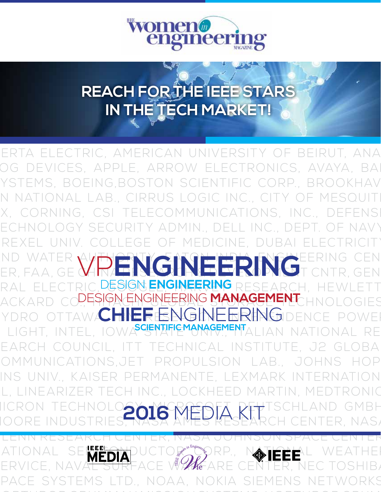

# **REACH FOR THE IEEE STARS IN THE TECH MARKET!**

ABB, INC., ABBOTT POC, AIR FORCE RESEARCH LAB., AL-BERTA ELECTRIC, AMERICAN UNIVERSITY OF BEIRUT, ANA-OG DEVICES, APPLE, ARROW ELECTRONICS, AVAYA, BA YSTEMS, BOEING,BOSTON SCIENTIFIC CORP., BROOKHAV N NATIONAL LAB., CIRRUS LOGIC INC., CITY OF MESQUIT X, CORNING, CSI TELECOMMUNICATIONS, INC., DEFENS ECHNOLOGY SECURITY ADMIN., DELL INC., DEPT. OF NAVY DREXEL UNIV. COLLEGE OF MEDICINE, DUBAI ELECTRICITY ND WATER AUTHORITY AND HUTHORITY INDIAN EERING CEN ND WALER W**RENGINEERING**EERING CEN RAL ELECTRIC, <mark>design engineering</mark> research, hewlett ACKARD CO<mark>., ESPARENGINEERING MANAGEMENT</mark> HNOLOGIES YDRO OTTAW**CHIEF ENGINEERING**IDENCE POWER LIGHT, INTEL, IOWA<sup>Scientificmanagement</sup>alian national re EARCH COUNCIL. ITT TECHNICAL INSTITUTE, J2 GLOBA COMMUNICATIONS,JET PROPULSION LAB., JOHNS HOP-INS UNIV., KAISER PERMANENTE, LEXMARK INTERNATION L, LINEARIZER TECH INC., LOCKHEED MARTIN, MEDTRONIC MICRON TECHNOLOGY, MARRAENET RETSCHLAND GMBH ER. NAS, GLENN RESEARCH CENTER, NASA JOHNSON SPACE CENTER, SPRP., N**atele**l weat  $= \sqrt{\frac{2}{3}}$  was are PACE SYSTEMS LTD., NOAA, NOKIA SIEMENS NETWORKS **2016** MEDIA KIT

NORTHROP GRUMMAN MISSION SYSTEMS, NORTHROP GRUM-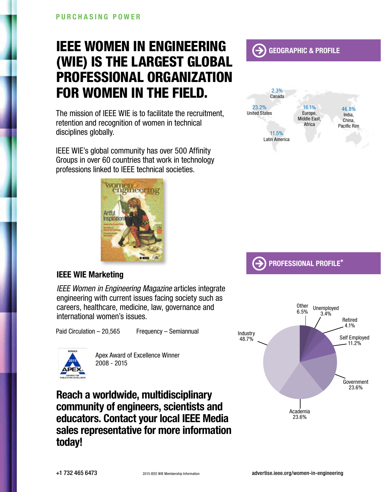# IEEE WOMEN IN ENGINEERING (WIE) is the largest global professional organization for women in the field.

The mission of IEEE WIE is to facilitate the recruitment, retention and recognition of women in technical disciplines globally.

IEEE WIE's global community has over 500 Affinity Groups in over 60 countries that work in technology professions linked to IEEE technical societies.



#### IEEE WIE Marketing

*IEEE Women in Engineering Magazine* articles integrate engineering with current issues facing society such as careers, healthcare, medicine, law, governance and international women's issues.

Paid Circulation – 20,565 Frequency – Semiannual



Apex Award of Excellence Winner 2008 - 2015

Reach a worldwide, multidisciplinary community of engineers, scientists and educators. Contact your local IEEE Media sales representative for more information today!





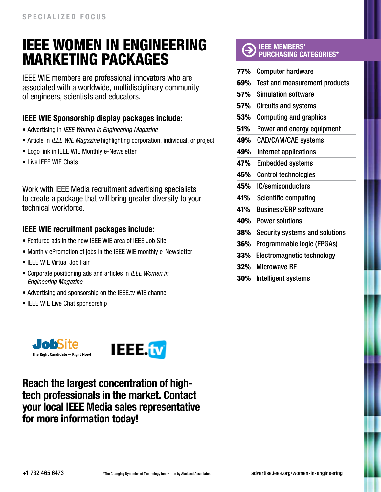## IEEE Women in Engineering MARKETING PACKAGES

IEEE WIE members are professional innovators who are associated with a worldwide, multidisciplinary community of engineers, scientists and educators.

#### IEEE WIE Sponsorship display packages include:

- Advertising in *IEEE Women in Engineering Magazine*
- Article in *IEEE WIE Magazine* highlighting corporation, individual, or project
- Logo link in IEEE WIE Monthly e-Newsletter
- Live IEEE WIE Chats

Work with IEEE Media recruitment advertising specialists to create a package that will bring greater diversity to your technical workforce.

#### IEEE WIE recruitment packages include:

- Featured ads in the new IEEE WIE area of IEEE Job Site
- Monthly ePromotion of jobs in the IEEE WIE monthly e-Newsletter
- IEEE WIE Virtual Job Fair
- Corporate positioning ads and articles in *IEEE Women in Engineering Magazine*
- Advertising and sponsorship on the IEEE.tv WIE channel
- IEEE WIE Live Chat sponsorship



Reach the largest concentration of hightech professionals in the market. Contact your local IEEE Media sales representative for more information today!

#### IEEE MEMBERS' PURCHASING CATEGORIES\*

| 77% | <b>Computer hardware</b>       |
|-----|--------------------------------|
| 69% | Test and measurement products  |
| 57% | <b>Simulation software</b>     |
| 57% | <b>Circuits and systems</b>    |
| 53% | <b>Computing and graphics</b>  |
| 51% | Power and energy equipment     |
| 49% | <b>CAD/CAM/CAE systems</b>     |
| 49% | Internet applications          |
| 47% | <b>Embedded systems</b>        |
| 45% | <b>Control technologies</b>    |
| 45% | <b>IC/semiconductors</b>       |
| 41% | <b>Scientific computing</b>    |
| 41% | <b>Business/ERP software</b>   |
| 40% | <b>Power solutions</b>         |
| 38% | Security systems and solutions |
| 36% | Programmable logic (FPGAs)     |
| 33% | Electromagnetic technology     |
| 32% | <b>Microwave RF</b>            |
| 30% | Intelligent systems            |